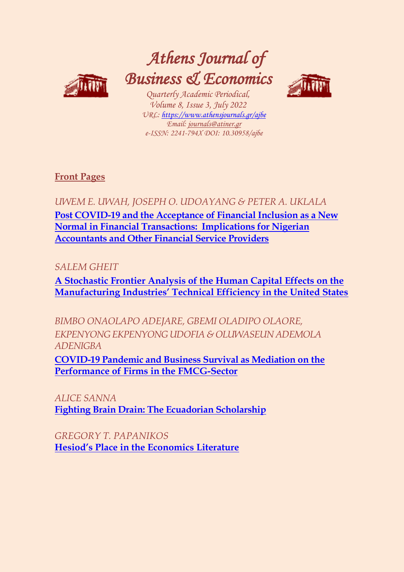

# *Athens Journal of Business & Economics*

*Quarterly Academic Periodical, Volume 8, Issue 3, July 2022 URL: <https://www.athensjournals.gr/ajbe> Email: [journals@atiner.gr](mailto:journals@atiner.gr) e-ISSN: 2241-794X DOI: 10.30958/ajbe*



**[Front Pages](https://www.athensjournals.gr/business/Cover-2022-03BUS.pdf)**

*UWEM E. UWAH, JOSEPH O. UDOAYANG & PETER A. UKLALA* 

**[Post COVID-19 and the Acceptance of Financial Inclusion as a New](http://www.athensjournals.gr/business/2022-8-3-1-Uwah.pdf)  [Normal in Financial Transactions: Implications for Nigerian](http://www.athensjournals.gr/business/2022-8-3-1-Uwah.pdf)  [Accountants and Other Financial Service Providers](http://www.athensjournals.gr/business/2022-8-3-1-Uwah.pdf)**

*SALEM GHEIT* 

**[A Stochastic Frontier Analysis of the Human Capital Effects on the](http://www.athensjournals.gr/business/2022-8-3-2-Gheit.pdf)  [Manufacturing Industries' Technical Efficiency in the United States](http://www.athensjournals.gr/business/2022-8-3-2-Gheit.pdf)**

*BIMBO ONAOLAPO ADEJARE, GBEMI OLADIPO OLAORE, EKPENYONG EKPENYONG UDOFIA & OLUWASEUN ADEMOLA ADENIGBA*

**[COVID-19 Pandemic and Business Survival as Mediation](http://www.athensjournals.gr/business/2022-8-3-3-Adejare.pdf) on the [Performance of Firms in the FMCG-Sector](http://www.athensjournals.gr/business/2022-8-3-3-Adejare.pdf)**

*ALICE SANNA*  **[Fighting Brain Drain: The Ecuadorian Scholarship](http://www.athensjournals.gr/business/2022-8-3-4-Sanna.pdf)**

*GREGORY T. PAPANIKOS* **[Hesiod's Place in the Economics Literature](http://www.athensjournals.gr/business/2022-8-3-5-Papanikos.pdf)**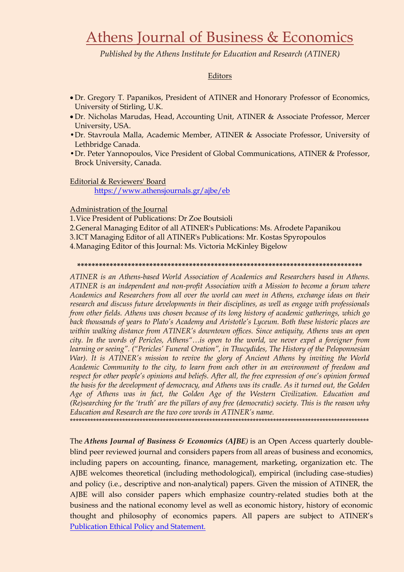# Athens Journal of Business & Economics

Published by the Athens Institute for Education and Research (ATINER)

# Editors

- Dr. Gregory T. Papanikos, President of ATINER and Honorary Professor of Economics, University of Stirling, U.K.
- Dr. Nicholas Marudas, Head, Accounting Unit, ATINER & Associate Professor, Mercer University, USA.
- Dr. Stavroula Malla, Academic Member, ATINER & Associate Professor, University of Lethbridge Canada.
- Dr. Peter Yannopoulos, Vice President of Global Communications, ATINER & Professor, Brock University, Canada.

## Editorial & Reviewers' Board

https://www.athensjournals.gr/ajbe/eb

## Administration of the Journal

1. Vice President of Publications: Dr Zoe Boutsioli

- 2. General Managing Editor of all ATINER's Publications: Ms. Afrodete Papanikou
- 3. ICT Managing Editor of all ATINER's Publications: Mr. Kostas Spyropoulos

4. Managing Editor of this Journal: Ms. Victoria McKinley Bigelow

#### 

ATINER is an Athens-based World Association of Academics and Researchers based in Athens. ATINER is an independent and non-profit Association with a Mission to become a forum where Academics and Researchers from all over the world can meet in Athens, exchange ideas on their research and discuss future developments in their disciplines, as well as engage with professionals from other fields. Athens was chosen because of its long history of academic gatherings, which go back thousands of years to Plato's Academy and Aristotle's Lyceum. Both these historic places are within walking distance from ATINER's downtown offices. Since antiquity, Athens was an open city. In the words of Pericles, Athens"...is open to the world, we never expel a foreigner from learning or seeing". ("Pericles' Funeral Oration", in Thucydides, The History of the Peloponnesian War). It is ATINER's mission to revive the glory of Ancient Athens by inviting the World Academic Community to the city, to learn from each other in an environment of freedom and respect for other people's opinions and beliefs. After all, the free expression of one's opinion formed the basis for the development of democracy, and Athens was its cradle. As it turned out, the Golden Age of Athens was in fact, the Golden Age of the Western Civilization. Education and (Re)searching for the 'truth' are the pillars of any free (democratic) society. This is the reason why Education and Research are the two core words in ATINER's name.

The Athens Journal of Business & Economics (AJBE) is an Open Access quarterly doubleblind peer reviewed journal and considers papers from all areas of business and economics, including papers on accounting, finance, management, marketing, organization etc. The AJBE welcomes theoretical (including methodological), empirical (including case-studies) and policy (i.e., descriptive and non-analytical) papers. Given the mission of ATINER, the AJBE will also consider papers which emphasize country-related studies both at the business and the national economy level as well as economic history, history of economic thought and philosophy of economics papers. All papers are subject to ATINER's Publication Ethical Policy and Statement.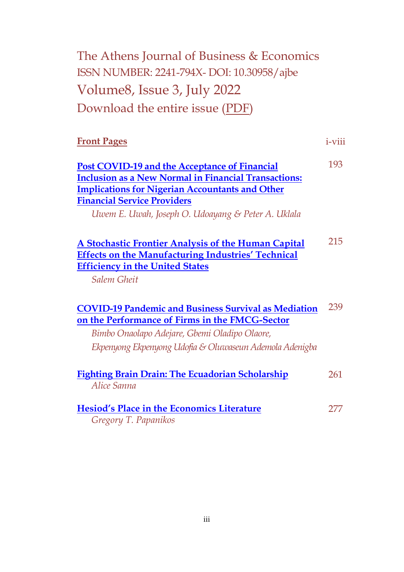| The Athens Journal of Business & Economics |
|--------------------------------------------|
| ISSN NUMBER: 2241-794X-DOI: 10.30958/ajbe  |
| Volume8, Issue 3, July 2022                |
| Download the entire issue (PDF)            |

| <b>Front Pages</b> | $1-V111$ |
|--------------------|----------|
|--------------------|----------|

| Post COVID-19 and the Acceptance of Financial               | 193. |
|-------------------------------------------------------------|------|
| <b>Inclusion as a New Normal in Financial Transactions:</b> |      |
| <b>Implications for Nigerian Accountants and Other</b>      |      |
| <b>Financial Service Providers</b>                          |      |
| Uwem E. Uwah, Joseph O. Udoayang & Peter A. Uklala          |      |

| A Stochastic Frontier Analysis of the Human Capital       | 215 |
|-----------------------------------------------------------|-----|
| <b>Effects on the Manufacturing Industries' Technical</b> |     |
| <b>Efficiency in the United States</b>                    |     |

*Salem Gheit* 

| <b>COVID-19 Pandemic and Business Survival as Mediation</b> | - 239 |
|-------------------------------------------------------------|-------|
| on the Performance of Firms in the FMCG-Sector              |       |

*Bimbo Onaolapo Adejare, Gbemi Oladipo Olaore, Ekpenyong Ekpenyong Udofia & Oluwaseun Ademola Adenigba*

| <b>Fighting Brain Drain: The Ecuadorian Scholarship</b> | 261 |
|---------------------------------------------------------|-----|
| Alice Sanna                                             |     |
|                                                         |     |
| <b>Hesiod's Place in the Economics Literature</b>       | 277 |

*Gregory T. Papanikos*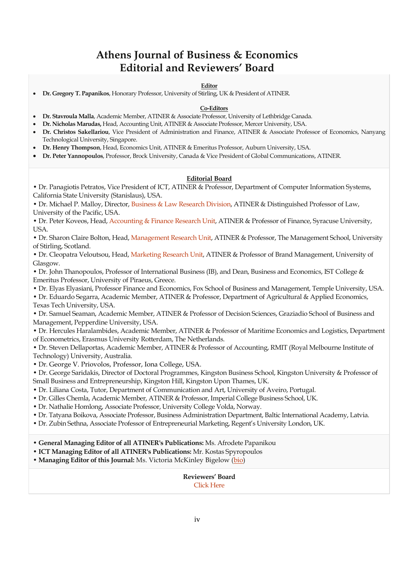# **Athens Journal of Business & Economics Editorial and Reviewers' Board**

#### **Editor**

**Dr. Gregory T. Papanikos**, Honorary Professor, University of Stirling, UK & President of ATINER.

#### **Co-Editors**

- **Dr. Stavroula Malla**, Academic Member, ATINER & Associate Professor, University of Lethbridge Canada.
- **Dr. Nicholas Marudas,** Head, Accounting Unit, ATINER & Associate Professor, Mercer University, USA.
- **Dr. Christos Sakellariou**, Vice President of Administration and Finance, ATINER & Associate Professor of Economics, Nanyang Technological University, Singapore.
- **Dr. Henry Thompson**, Head, Economics Unit, ATINER & Emeritus Professor, Auburn University, USA.
- **Dr. Peter Yannopoulos**, Professor, Brock University, Canada & Vice President of Global Communications, ATINER.

#### **Editorial Board**

• Dr. Panagiotis Petratos, Vice President of ICT, ATINER & Professor, Department of Computer Information Systems, California State University (Stanislaus), USA.

• Dr. Michael P. Malloy, Director, [Business & Law Research Division,](http://www.atiner.gr/BLRD.htm) ATINER & Distinguished Professor of Law, University of the Pacific, USA.

• Dr. Peter Koveos, Head, [Accounting & Finance Research Unit,](http://www.atiner.gr/docs/ACCOUNTING_UNIT.htm) ATINER & Professor of Finance, Syracuse University, USA.

• Dr. Sharon Claire Bolton, Head, [Management Research Unit,](http://www.atiner.gr/management) ATINER & Professor, The Management School, University of Stirling, Scotland.

• Dr. Cleopatra Veloutsou, Head, [Marketing Research Unit,](http://www.atiner.gr/marketing) ATINER & Professor of Brand Management, University of Glasgow.

• Dr. John Thanopoulos, Professor of International Business (IB), and Dean, Business and Economics, IST College & Emeritus Professor, University of Piraeus, Greece.

• Dr. Elyas Elyasiani, Professor Finance and Economics, Fox School of Business and Management, Temple University, USA.

• Dr. Eduardo Segarra, Academic Member, ATINER & Professor, Department of Agricultural & Applied Economics, Texas Tech University, USA.

• Dr. Samuel Seaman, Academic Member, ATINER & Professor of Decision Sciences, Graziadio School of Business and Management, Pepperdine University, USA.

• Dr. Hercules Haralambides, Academic Member, ATINER & Professor of Maritime Economics and Logistics, Department of Econometrics, Erasmus University Rotterdam, The Netherlands.

• Dr. Steven Dellaportas, Academic Member, ATINER & Professor of Accounting, RMIT (Royal Melbourne Institute of Technology) University, Australia.

• Dr. George V. Priovolos, Professor, Iona College, USA.

• Dr. George Saridakis, Director of Doctoral Programmes, Kingston Business School, Kingston University & Professor of Small Business and Entrepreneurship, Kingston Hill, Kingston Upon Thames, UK.

- Dr. Liliana Costa, Tutor, Department of Communication and Art, University of Aveiro, Portugal.
- Dr. Gilles Chemla, Academic Member, ATINER & Professor, Imperial College Business School, UK.
- Dr. Nathalie Homlong, Associate Professor, University College Volda, Norway.
- Dr. Tatyana Boikova, Associate Professor, Business Administration Department, Baltic International Academy, Latvia.
- Dr. Zubin Sethna, Associate Professor of Entrepreneurial Marketing, Regent's University London, UK.

• **General Managing Editor of all ATINER's Publications:** Ms. Afrodete Papanikou

• **ICT Managing Editor of all ATINER's Publications:** Mr. Kostas Spyropoulos

• Managing Editor of this Journal: Ms. Victoria McKinley Bigelow [\(bio\)](https://atiner.gr/bio/Victoria-Bigelow.pdf)

**Reviewers' Board** [Click Here](http://www.athensjournals.gr/ajberb)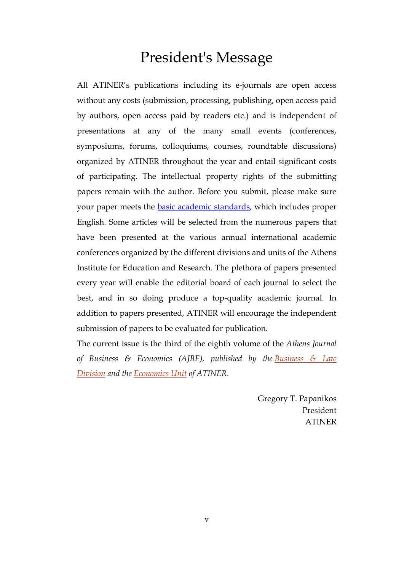# President's Message

All ATINER's publications including its e-journals are open access without any costs (submission, processing, publishing, open access paid by authors, open access paid by readers etc.) and is independent of presentations at any of the many small events (conferences, symposiums, forums, colloquiums, courses, roundtable discussions) organized by ATINER throughout the year and entail significant costs of participating. The intellectual property rights of the submitting papers remain with the author. Before you submit, please make sure your paper meets the **basic academic standards**, which includes proper English. Some articles will be selected from the numerous papers that have been presented at the various annual international academic conferences organized by the different divisions and units of the Athens Institute for Education and Research. The plethora of papers presented every year will enable the editorial board of each journal to select the best, and in so doing produce a top-quality academic journal. In addition to papers presented, ATINER will encourage the independent submission of papers to be evaluated for publication.

The current issue is the third of the eighth volume of the *Athens Journal of Business & Economics (AJBE), published by the [Business & Law](http://www.atiner.gr/BLRD.htm)  [Division](http://www.atiner.gr/BLRD.htm) and the [Economics Unit](http://www.atiner.gr/ECONOMICS-UNIT.htm) of ATINER.*

> Gregory T. Papanikos President ATINER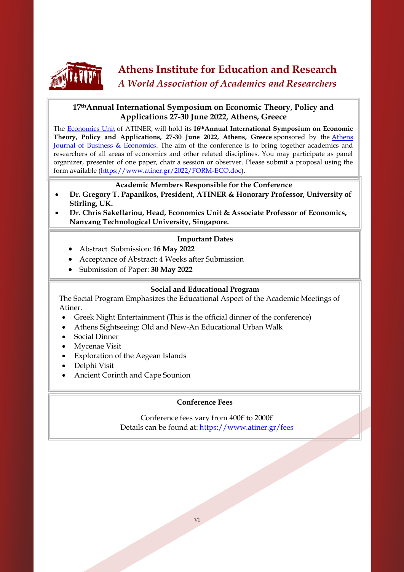

# **Athens Institute for Education and Research** *A World Association of Academics and Researchers*

# **17thAnnual International Symposium on Economic Theory, Policy and Applications 27-30 June 2022, Athens, Greece**

The [Economics Unit](https://www.atiner.gr/economics-unit) of ATINER, will hold its **16thAnnual International Symposium on Economic Theory, Policy and Applications, 27-30 June 2022, Athens, Greece** sponsored by the [Athens](http://www.athensjournals.gr/ajbe)  [Journal of Business & Economics.](http://www.athensjournals.gr/ajbe) The aim of the conference is to bring together academics and researchers of all areas of economics and other related disciplines. You may participate as panel organizer, presenter of one paper, chair a session or observer. Please submit a proposal using the form available [\(https://www.atiner.gr/2022/FORM-ECO.doc\)](https://www.atiner.gr/2022/FORM-ECO.doc).

# **Academic Members Responsible for the Conference**

- **Dr. Gregory T. Papanikos, President, ATINER & Honorary Professor, University of Stirling, UK.**
- **Dr. Chris Sakellariou, Head, Economics Unit & Associate Professor of Economics, Nanyang Technological University, Singapore.**

# **Important Dates**

- Abstract Submission: **16 May 2022**
- Acceptance of Abstract: 4 Weeks after Submission
- Submission of Paper: **30 May 2022**

# **Social and Educational Program**

The Social Program Emphasizes the Educational Aspect of the Academic Meetings of Atiner.

- Greek Night Entertainment (This is the official dinner of the conference)
- Athens Sightseeing: Old and New-An Educational Urban Walk
- Social Dinner

l,

- Mycenae Visit
- Exploration of the Aegean Islands
- Delphi Visit
- Ancient Corinth and Cape Sounion

# **Conference Fees**

Conference fees vary from 400€ to 2000€ Details can be found at: <https://www.atiner.gr/fees>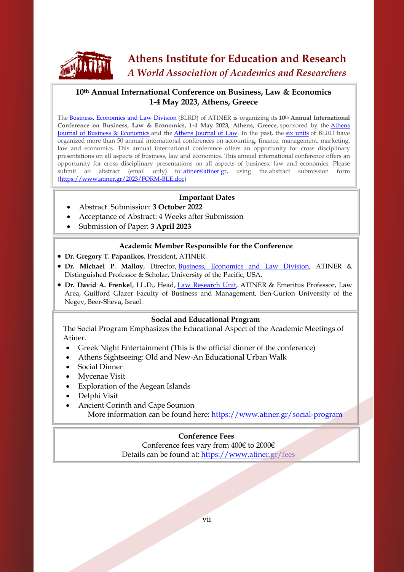

# **Athens Institute for Education and Research** *A World Association of Academics and Researchers*

# **10th Annual International Conference on Business, Law & Economics 1-4 May 2023, Athens, Greece**

The Business, [Economics](http://www.atiner.gr/BLRD.htm) and Law Division (BLRD) of ATINER is organizing its **10th Annual International Conference on Business, Law & Economics, 1-4 May 2023, Athens, Greece,** sponsored by the [Athens](http://www.athensjournals.gr/ajbe) Journal of Business & [Economics](http://www.athensjournals.gr/ajbe) and the Athens [Journal](http://www.athensjournals.gr/ajl) of Law. In the past, the six [units](https://www.atiner.gr/blrd) of BLRD have organized more than 50 annual international conferences on accounting, finance, management, marketing, law and economics. This annual international conference offers an opportunity for cross disciplinary presentations on all aspects of business, law and economics. This annual international conference offers an opportunity for cross disciplinary presentations on all aspects of business, law and economics. Please submit an abstract (email only) to: [atiner@atiner.gr,](mailto:atiner@atiner.gr) using the abstract submission form [\(https://www.atiner.gr/2023/FORM-BLE.doc\)](https://www.atiner.gr/2023/FORM-BLE.doc)

# **Important Dates**

- Abstract Submission: **3 October 2022**
- Acceptance of Abstract: 4 Weeks after Submission
- Submission of Paper: **3 April 2023**

## **Academic Member Responsible for the Conference**

- **Dr. Gregory T. Papanikos**, President, ATINER.
- **Dr. Michael P. Malloy**, Director, Business, [Economics](http://www.atiner.gr/BLRD.htm) and Law Division, ATINER & Distinguished Professor & Scholar, University of the Pacific, USA.
- **Dr. David A. Frenkel**, LL.D., Head, Law [Research](http://www.atiner.gr/docs/LAW_UNIT.htm) Unit, ATINER & Emeritus Professor, Law Area, Guilford Glazer Faculty of Business and Management, Ben-Gurion University of the Negev, Beer-Sheva, Israel.

## **Social and Educational Program**

 The Social Program Emphasizes the Educational Aspect of the Academic Meetings of Atiner.

- Greek Night Entertainment (This is the official dinner of the conference)
- Athens Sightseeing: Old and New-An Educational Urban Walk
- Social Dinner
- Mycenae Visit
- Exploration of the Aegean Islands
- Delphi Visit
- Ancient Corinth and Cape Sounion More information can be found here:<https://www.atiner.gr/social-program>

# **Conference Fees**

Conference fees vary from 400€ to 2000€ Details can be found at: <https://www.atiner.gr/fees>